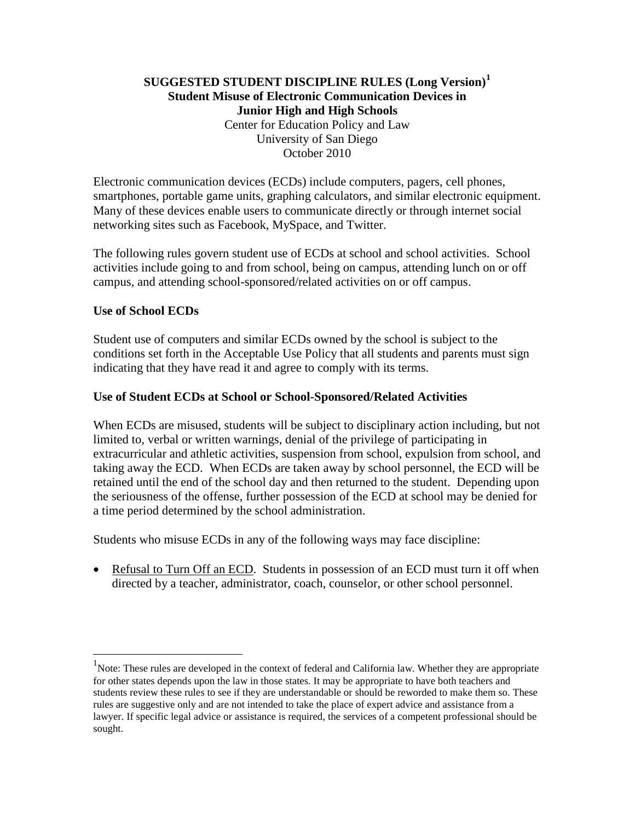## **SUGGESTED STUDENT DISCIPLINE RULES (Long Version)[1](#page-0-0) Student Misuse of Electronic Communication Devices in Junior High and High Schools** Center for Education Policy and Law University of San Diego October 2010

Electronic communication devices (ECDs) include computers, pagers, cell phones, smartphones, portable game units, graphing calculators, and similar electronic equipment. Many of these devices enable users to communicate directly or through internet social networking sites such as Facebook, MySpace, and Twitter.

The following rules govern student use of ECDs at school and school activities. School activities include going to and from school, being on campus, attending lunch on or off campus, and attending school-sponsored/related activities on or off campus.

### **Use of School ECDs**

Student use of computers and similar ECDs owned by the school is subject to the conditions set forth in the Acceptable Use Policy that all students and parents must sign indicating that they have read it and agree to comply with its terms.

## **Use of Student ECDs at School or School-Sponsored/Related Activities**

When ECDs are misused, students will be subject to disciplinary action including, but not limited to, verbal or written warnings, denial of the privilege of participating in extracurricular and athletic activities, suspension from school, expulsion from school, and taking away the ECD. When ECDs are taken away by school personnel, the ECD will be retained until the end of the school day and then returned to the student. Depending upon the seriousness of the offense, further possession of the ECD at school may be denied for a time period determined by the school administration.

Students who misuse ECDs in any of the following ways may face discipline:

• Refusal to Turn Off an ECD. Students in possession of an ECD must turn it off when directed by a teacher, administrator, coach, counselor, or other school personnel.

<span id="page-0-0"></span><sup>&</sup>lt;sup>1</sup>Note: These rules are developed in the context of federal and California law. Whether they are appropriate for other states depends upon the law in those states. It may be appropriate to have both teachers and students review these rules to see if they are understandable or should be reworded to make them so. These rules are suggestive only and are not intended to take the place of expert advice and assistance from a lawyer. If specific legal advice or assistance is required, the services of a competent professional should be sought.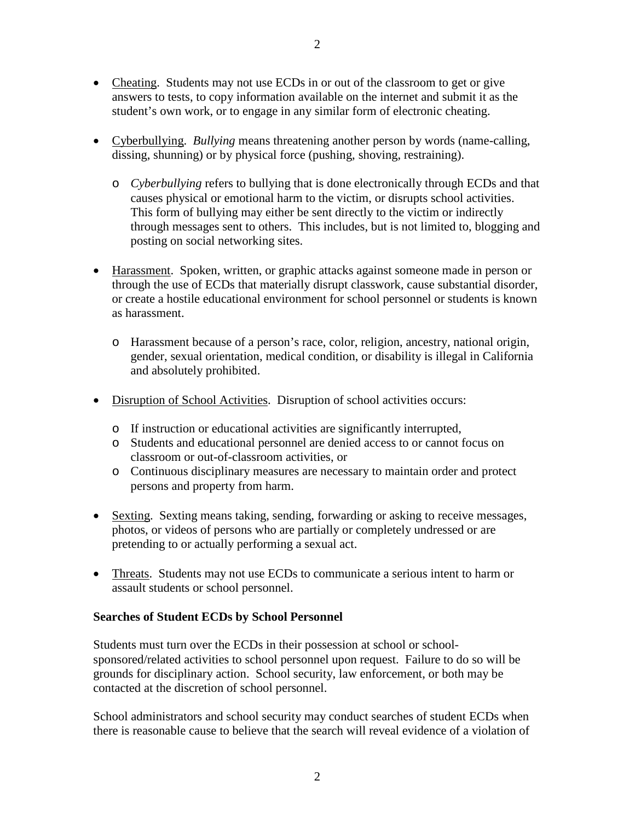- Cheating. Students may not use ECDs in or out of the classroom to get or give answers to tests, to copy information available on the internet and submit it as the student's own work, or to engage in any similar form of electronic cheating.
- Cyberbullying. *Bullying* means threatening another person by words (name-calling, dissing, shunning) or by physical force (pushing, shoving, restraining).
	- o *Cyberbullying* refers to bullying that is done electronically through ECDs and that causes physical or emotional harm to the victim, or disrupts school activities. This form of bullying may either be sent directly to the victim or indirectly through messages sent to others. This includes, but is not limited to, blogging and posting on social networking sites.
- Harassment. Spoken, written, or graphic attacks against someone made in person or through the use of ECDs that materially disrupt classwork, cause substantial disorder, or create a hostile educational environment for school personnel or students is known as harassment.
	- o Harassment because of a person's race, color, religion, ancestry, national origin, gender, sexual orientation, medical condition, or disability is illegal in California and absolutely prohibited.
- Disruption of School Activities. Disruption of school activities occurs:
	- o If instruction or educational activities are significantly interrupted,
	- o Students and educational personnel are denied access to or cannot focus on classroom or out-of-classroom activities, or
	- o Continuous disciplinary measures are necessary to maintain order and protect persons and property from harm.
- Sexting. Sexting means taking, sending, forwarding or asking to receive messages, photos, or videos of persons who are partially or completely undressed or are pretending to or actually performing a sexual act.
- Threats. Students may not use ECDs to communicate a serious intent to harm or assault students or school personnel.

### **Searches of Student ECDs by School Personnel**

Students must turn over the ECDs in their possession at school or schoolsponsored/related activities to school personnel upon request. Failure to do so will be grounds for disciplinary action. School security, law enforcement, or both may be contacted at the discretion of school personnel.

School administrators and school security may conduct searches of student ECDs when there is reasonable cause to believe that the search will reveal evidence of a violation of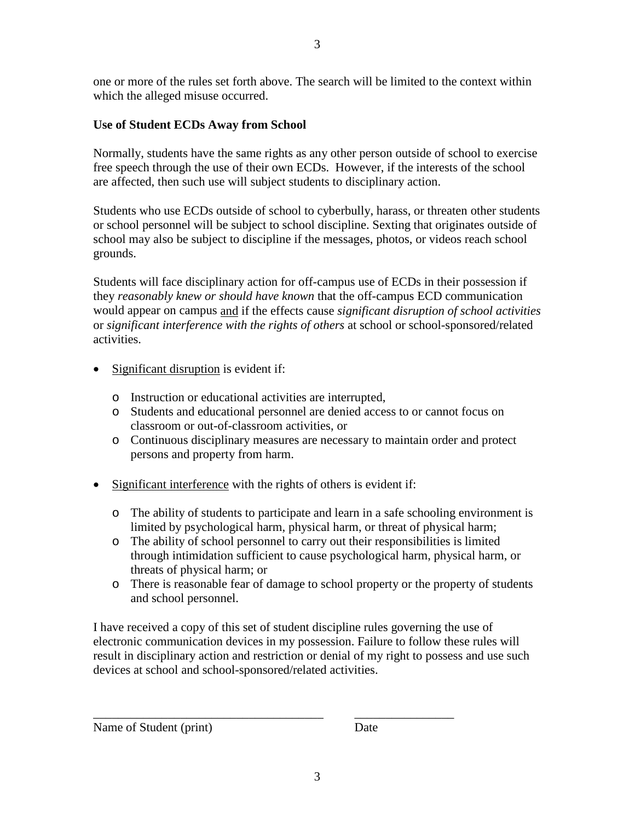one or more of the rules set forth above. The search will be limited to the context within which the alleged misuse occurred.

# **Use of Student ECDs Away from School**

Normally, students have the same rights as any other person outside of school to exercise free speech through the use of their own ECDs. However, if the interests of the school are affected, then such use will subject students to disciplinary action.

Students who use ECDs outside of school to cyberbully, harass, or threaten other students or school personnel will be subject to school discipline. Sexting that originates outside of school may also be subject to discipline if the messages, photos, or videos reach school grounds.

Students will face disciplinary action for off-campus use of ECDs in their possession if they *reasonably knew or should have known* that the off-campus ECD communication would appear on campus and if the effects cause *significant disruption of school activities* or *significant interference with the rights of others* at school or school-sponsored/related activities.

- Significant disruption is evident if:
	- o Instruction or educational activities are interrupted,
	- o Students and educational personnel are denied access to or cannot focus on classroom or out-of-classroom activities, or
	- o Continuous disciplinary measures are necessary to maintain order and protect persons and property from harm.
- Significant interference with the rights of others is evident if:
	- o The ability of students to participate and learn in a safe schooling environment is limited by psychological harm, physical harm, or threat of physical harm;
	- o The ability of school personnel to carry out their responsibilities is limited through intimidation sufficient to cause psychological harm, physical harm, or threats of physical harm; or
	- o There is reasonable fear of damage to school property or the property of students and school personnel.

I have received a copy of this set of student discipline rules governing the use of electronic communication devices in my possession. Failure to follow these rules will result in disciplinary action and restriction or denial of my right to possess and use such devices at school and school-sponsored/related activities.

\_\_\_\_\_\_\_\_\_\_\_\_\_\_\_\_\_\_\_\_\_\_\_\_\_\_\_\_\_\_\_\_\_\_\_\_\_ \_\_\_\_\_\_\_\_\_\_\_\_\_\_\_\_

Name of Student (print) Date